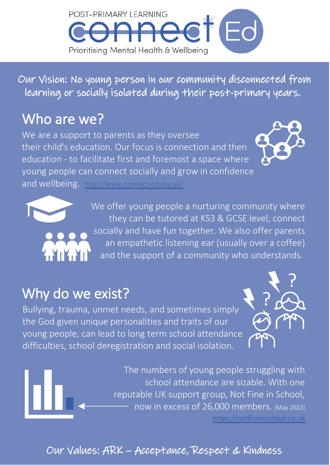

Our Vision: No young person in our community disconnected from learning or socially isolated during their post-primary years.

# Who are we?

We are a support to parents as they oversee their child's education. Our focus is connection and then education - to facilitate first and foremost a space where young people can connect socially and grow in confidence

and wellbeing. <http://www.connect-ed.org.uk/>



?

?



## Why do we exist?

Bullying, trauma, unmet needs, and sometimes simply the God given unique personalities and traits of our young people, can lead to long term school attendance difficulties, school deregistration and social isolation.



### Our Values: ARK – Acceptance, Respect & Kindness